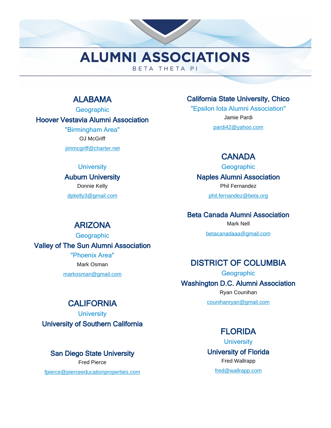# ALABAMA

**Geographic** Hoover Vestavia Alumni Association "Birmingham Area" OJ McGriff

jimmcgriff@charter.net

#### **University**

Auburn University Donnie Kelly dpkelly3@gmail.com

California State University, Chico

"Epsilon Iota Alumni Association" Jamie Pardi pardi42@yahoo.com

# **CANADA**

**Geographic** 

Naples Alumni Association

Phil Fernandez phil.fernandez@beta.org

Beta Canada Alumni Association

Mark Nell betacanadaaa@gmail.com

# DISTRICT OF COLUMBIA

**Geographic** Washington D.C. Alumni Association Ryan Counihan

counihanryan@gmail.com

# **FLORIDA**

**University** University of Florida Fred Wallrapp fred@wallrapp.com

# ARIZONA

**Geographic** Valley of The Sun Alumni Association "Phoenix Area"

> Mark Osman markosman@gmail.com

# **CALIFORNIA**

**University** University of Southern California

San Diego State University Fred Pierce

fpierce@pierceeducationproperties.com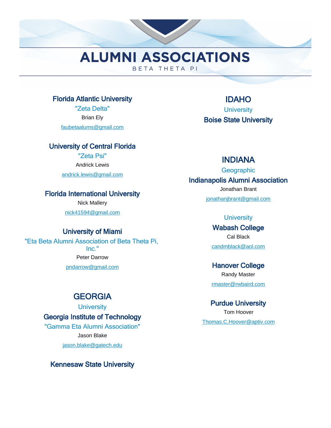### Florida Atlantic University

"Zeta Delta" Brian Ely faubetaalums@gmail.com

### University of Central Florida

"Zeta Psi" Andrick Lewis

andrick.lewis@gmail.com

### Florida International University

Nick Mallery nick41594@gmail.com

### University of Miami

"Eta Beta Alumni Association of Beta Theta Pi, Inc." Peter Darrow pndarrow@gmail.com

# **GEORGIA**

**University** 

Georgia Institute of Technology "Gamma Eta Alumni Association" Jason Blake jason.blake@gatech.edu

Kennesaw State University

IDAHO **University** Boise State University

### INDIANA

**Geographic** 

### Indianapolis Alumni Association

Jonathan Brant jonathanjbrant@gmail.com

#### **University**

Wabash College Cal Black candmblack@aol.com

# Hanover College Randy Master

rmaster@rwbaird.com

### Purdue University

Tom Hoover Thomas.C.Hoover@aptiv.com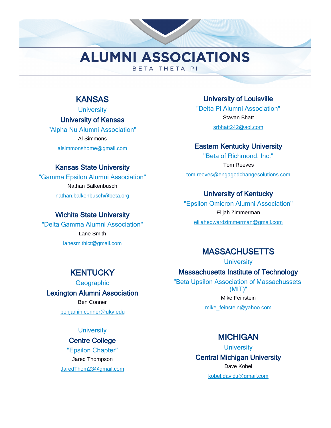# KANSAS

**University** University of Kansas

"Alpha Nu Alumni Association" Al Simmons alsimmonshome@gmail.com

## Kansas State University

"Gamma Epsilon Alumni Association" Nathan Balkenbusch nathan.balkenbusch@beta.org

### Wichita State University

"Delta Gamma Alumni Association" Lane Smith lanesmithict@gmail.com

University of Louisville "Delta Pi Alumni Association" Stavan Bhatt srbhatt242@aol.com

### Eastern Kentucky University

"Beta of Richmond, Inc." Tom Reeves tom.reeves@engagedchangesolutions.com

## University of Kentucky

"Epsilon Omicron Alumni Association" Elijah Zimmerman elijahedwardzimmerman@gmail.com

# **MASSACHUSETTS**

**University** 

Massachusetts Institute of Technology

"Beta Upsilon Association of Massachussets (MIT)" Mike Feinstein

mike\_feinstein@yahoo.com

# **MICHIGAN**

**University** Central Michigan University Dave Kobel kobel.david.j@gmail.com

# **KENTUCKY**

**Geographic** Lexington Alumni Association Ben Conner benjamin.conner@uky.edu

**University** 

#### Centre College

"Epsilon Chapter" Jared Thompson JaredThom23@gmail.com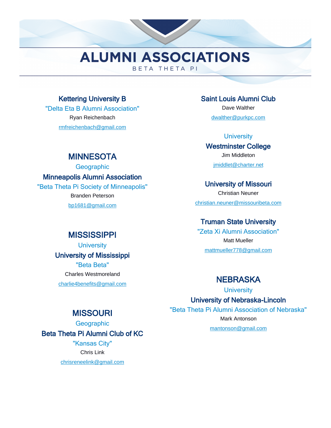### Kettering University B

"Delta Eta B Alumni Association" Ryan Reichenbach rmfreichenbach@gmail.com

### Saint Louis Alumni Club

Dave Walther dwalther@purkpc.com

#### **University**

Westminster College Jim Middleton jmiddlet@charter.net

#### University of Missouri

Christian Neuner christian.neuner@missouribeta.com

### Truman State University

"Zeta Xi Alumni Association" Matt Mueller mattmueller778@gmail.com

# **NEBRASKA**

**University** 

University of Nebraska-Lincoln

"Beta Theta Pi Alumni Association of Nebraska" Mark Antonson

mantonson@gmail.com

# University of Mississippi "Beta Beta"

**MISSISSIPPI University** 

Charles Westmoreland charlie4benefits@gmail.com

# **MISSOURI**

**Geographic** Beta Theta Pi Alumni Club of KC "Kansas City" Chris Link

chrisreneelink@gmail.com

# **MINNESOTA**

**Geographic** 

Minneapolis Alumni Association

"Beta Theta Pi Society of Minneapolis" Branden Peterson

bp1681@gmail.com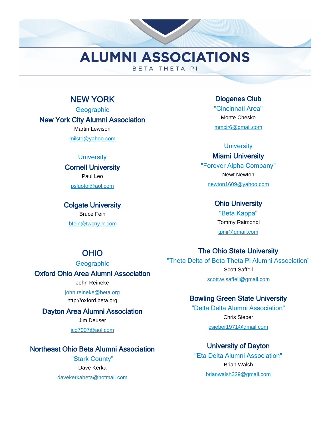# NEW YORK

**Geographic** New York City Alumni Association Martin Lewison milst1@yahoo.com

#### **University**

#### Cornell University Paul Leo

psluotoi@aol.com

Colgate University Bruce Fein

bfein@twcny.rr.com

Diogenes Club "Cincinnati Area" Monte Chesko mmcjr6@gmail.com

#### **University**

### Miami University

"Forever Alpha Company" Newt Newton newton1609@yahoo.com

#### Ohio University

"Beta Kappa" Tommy Raimondi tpriii@gmail.com

# The Ohio State University

"Theta Delta of Beta Theta Pi Alumni Association" Scott Saffell scott.w.saffell@gmail.com

### Bowling Green State University

"Delta Delta Alumni Association" Chris Sieber csieber1971@gmail.com

### University of Dayton

"Eta Delta Alumni Association" Brian Walsh brianwalsh329@gmail.com

# OHIO

**Geographic** 

# Oxford Ohio Area Alumni Association

John Reineke

john.reineke@beta.org http://oxford.beta.org

### Dayton Area Alumni Association

Jim Deuser

jcd7007@aol.com

### Northeast Ohio Beta Alumni Association

"Stark County" Dave Kerka davekerkabeta@hotmail.com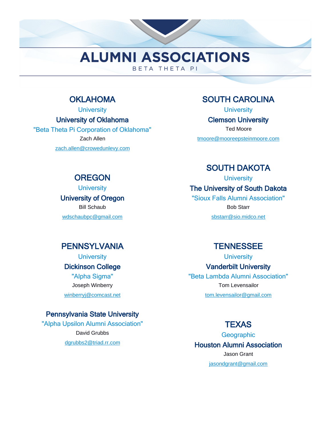# **OKLAHOMA**

**University** 

University of Oklahoma

"Beta Theta Pi Corporation of Oklahoma" Zach Allen zach.allen@crowedunlevy.com

# SOUTH CAROLINA

**University** 

Clemson University

Ted Moore

tmoore@mooreepsteinmoore.com

# **OREGON**

**University** 

University of Oregon Bill Schaub

wdschaubpc@gmail.com

SOUTH DAKOTA

### **University** The University of South Dakota

"Sioux Falls Alumni Association"

Bob Starr

sbstarr@sio.midco.net

# **PENNSYLVANIA**

**University** Dickinson College

"Alpha Sigma" Joseph Winberry winberryj@comcast.net

### Pennsylvania State University

"Alpha Upsilon Alumni Association" David Grubbs dgrubbs2@triad.rr.com

# TENNESSEE

**University** 

Vanderbilt University

"Beta Lambda Alumni Association" Tom Levensailor

tom.levensailor@gmail.com

# **TEXAS**

**Geographic** Houston Alumni Association Jason Grant jasondgrant@gmail.com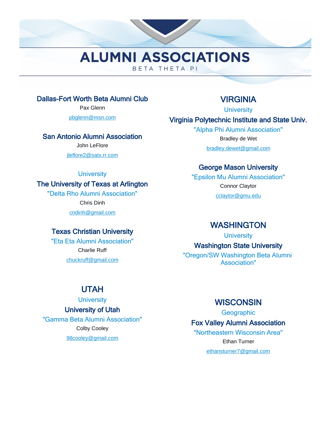### Dallas-Fort Worth Beta Alumni Club

Pax Glenn

pbglenn@msn.com

#### San Antonio Alumni Association

John LeFlore

jleflore2@satx.rr.com

#### **University**

### The University of Texas at Arlington

"Delta Rho Alumni Association" Chris Dinh cndinh@gmail.com

### Texas Christian University

"Eta Eta Alumni Association" Charlie Ruff chuckruff@gmail.com

# VIRGINIA

**University** 

## Virginia Polytechnic Institute and State Univ.

"Alpha Phi Alumni Association" Bradley de Wet bradley.dewet@gmail.com

## George Mason University

"Epsilon Mu Alumni Association" Connor Claytor cclaytor@gmu.edu

## WASHINGTON

**University** 

Washington State University

"Oregon/SW Washington Beta Alumni Association"

# UTAH

**University** 

#### University of Utah

"Gamma Beta Alumni Association" Colby Cooley 98cooley@gmail.com

### **WISCONSIN**

**Geographic** 

### Fox Valley Alumni Association

"Northeastern Wisconsin Area" Ethan Turner ethansturner7@gmail.com